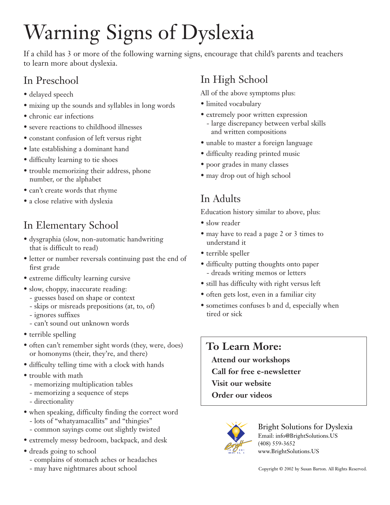# Warning Signs of Dyslexia

If a child has 3 or more of the following warning signs, encourage that child's parents and teachers to learn more about dyslexia.

## In Preschool

- delayed speech
- mixing up the sounds and syllables in long words
- chronic ear infections
- severe reactions to childhood illnesses
- constant confusion of left versus right
- late establishing a dominant hand
- difficulty learning to tie shoes
- trouble memorizing their address, phone number, or the alphabet
- can't create words that rhyme
- a close relative with dyslexia

# In Elementary School

- dysgraphia (slow, non-automatic handwriting that is difficult to read)
- letter or number reversals continuing past the end of first grade
- extreme difficulty learning cursive
- slow, choppy, inaccurate reading:
	- guesses based on shape or context
	- skips or misreads prepositions (at, to, of)
	- ignores suffixes
	- can't sound out unknown words
- terrible spelling
- often can't remember sight words (they, were, does) or homonyms (their, they're, and there)
- difficulty telling time with a clock with hands
- trouble with math
	- memorizing multiplication tables
	- memorizing a sequence of steps
	- directionality
- when speaking, difficulty finding the correct word - lots of "whatyamacallits" and "thingies"
	- common sayings come out slightly twisted
- extremely messy bedroom, backpack, and desk
- dreads going to school
	- complains of stomach aches or headaches
	- may have nightmares about school

## In High School

All of the above symptoms plus:

- limited vocabulary
- extremely poor written expression
- large discrepancy between verbal skills and written compositions
- unable to master a foreign language
- difficulty reading printed music
- poor grades in many classes
- may drop out of high school

## In Adults

Education history similar to above, plus:

- slow reader
- may have to read a page 2 or 3 times to understand it
- terrible speller
- difficulty putting thoughts onto paper - dreads writing memos or letters
- still has difficulty with right versus left
- often gets lost, even in a familiar city
- sometimes confuses b and d, especially when tired or sick

## **To Learn More:**

**Attend our workshops**

**Call for free e-newsletter**

**Visit our website**

**Order our videos**



Bright Solutions for Dyslexia Email: info@BrightSolutions.US (408) 559-3652 www.BrightSolutions.US

Copyright © 2002 by Susan Barton. All Rights Reserved.